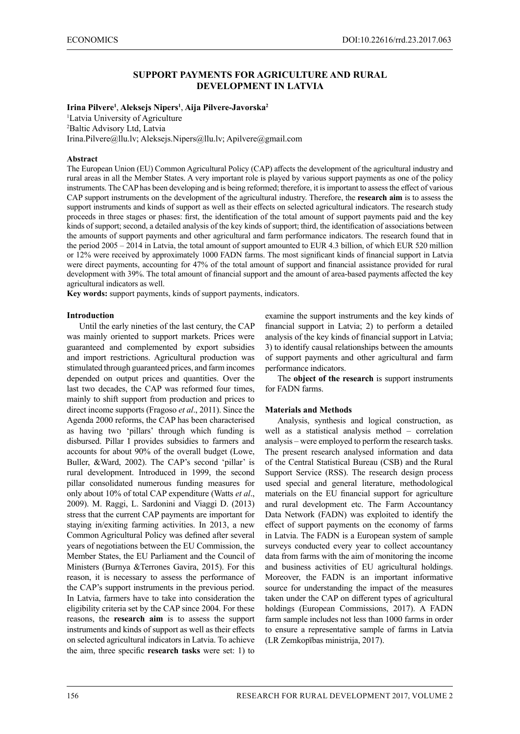## **SUPPORT PAYMENTS FOR AGRICULTURE AND RURAL DEVELOPMENT IN LATVIA**

### **Irina Pilvere1** , **Aleksejs Nipers<sup>1</sup>** , **Aija Pilvere-Javorska<sup>2</sup>**

<sup>1</sup>Latvia University of Agriculture 2 Baltic Advisory Ltd, Latvia Irina.Pilvere@llu.lv; Aleksejs.Nipers@llu.lv; Apilvere@gmail.com

#### **Abstract**

The European Union (EU) Common Agricultural Policy (CAP) affects the development of the agricultural industry and rural areas in all the Member States. A very important role is played by various support payments as one of the policy instruments. The CAP has been developing and is being reformed; therefore, it is important to assess the effect of various CAP support instruments on the development of the agricultural industry. Therefore, the **research aim** is to assess the support instruments and kinds of support as well as their effects on selected agricultural indicators. The research study proceeds in three stages or phases: first, the identification of the total amount of support payments paid and the key kinds of support; second, a detailed analysis of the key kinds of support; third, the identification of associations between the amounts of support payments and other agricultural and farm performance indicators. The research found that in the period 2005 – 2014 in Latvia, the total amount of support amounted to EUR 4.3 billion, of which EUR 520 million or 12% were received by approximately 1000 FADN farms. The most significant kinds of financial support in Latvia were direct payments, accounting for 47% of the total amount of support and financial assistance provided for rural development with 39%. The total amount of financial support and the amount of area-based payments affected the key agricultural indicators as well.

**Key words:** support payments, kinds of support payments, indicators.

#### **Introduction**

Until the early nineties of the last century, the CAP was mainly oriented to support markets. Prices were guaranteed and complemented by export subsidies and import restrictions. Agricultural production was stimulated through guaranteed prices, and farm incomes depended on output prices and quantities. Over the last two decades, the CAP was reformed four times, mainly to shift support from production and prices to direct income supports (Fragoso *et al*., 2011). Since the Agenda 2000 reforms, the CAP has been characterised as having two 'pillars' through which funding is disbursed. Pillar I provides subsidies to farmers and accounts for about 90% of the overall budget (Lowe, Buller, &Ward, 2002). The CAP's second 'pillar' is rural development. Introduced in 1999, the second pillar consolidated numerous funding measures for only about 10% of total CAP expenditure (Watts *et al*., 2009). M. Raggi, L. Sardonini and Viaggi D. (2013) stress that the current CAP payments are important for staying in/exiting farming activities. In 2013, a new Common Agricultural Policy was defined after several years of negotiations between the EU Commission, the Member States, the EU Parliament and the Council of Ministers (Burnya &Terrones Gavira, 2015). For this reason, it is necessary to assess the performance of the CAP's support instruments in the previous period. In Latvia, farmers have to take into consideration the eligibility criteria set by the CAP since 2004. For these reasons, the **research aim** is to assess the support instruments and kinds of support as well as their effects on selected agricultural indicators in Latvia. To achieve the aim, three specific **research tasks** were set: 1) to

examine the support instruments and the key kinds of financial support in Latvia; 2) to perform a detailed analysis of the key kinds of financial support in Latvia; 3) to identify causal relationships between the amounts of support payments and other agricultural and farm performance indicators.

The **object of the research** is support instruments for FADN farms.

### **Materials and Methods**

Analysis, synthesis and logical construction, as well as a statistical analysis method – correlation analysis – were employed to perform the research tasks. The present research analysed information and data of the Central Statistical Bureau (CSB) and the Rural Support Service (RSS). The research design process used special and general literature, methodological materials on the EU financial support for agriculture and rural development etc. The Farm Accountancy Data Network (FADN) was exploited to identify the effect of support payments on the economy of farms in Latvia. The FADN is a European system of sample surveys conducted every year to collect accountancy data from farms with the aim of monitoring the income and business activities of EU agricultural holdings. Moreover, the FADN is an important informative source for understanding the impact of the measures taken under the CAP on different types of agricultural holdings (European Commissions, 2017). A FADN farm sample includes not less than 1000 farms in order to ensure a representative sample of farms in Latvia (LR Zemkopības ministrija, 2017).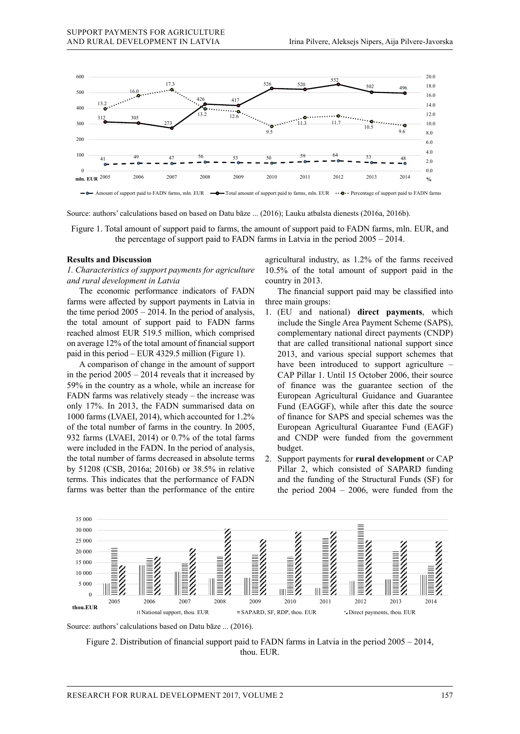

Amount of support paid to FADN farms, mln. EUR  $\longrightarrow$  Total amount of support paid to farms, mln. EUR  $\longrightarrow$  Percentage of support paid to FADN farms

Source: authors' calculations based on based on Datu bāze ... (2016); Lauku atbalsta dienests (2016a, 2016b).

Figure 1. Total amount of support paid to farms, the amount of support paid to FADN farms, mln. EUR, and the percentage of support paid to FADN farms in Latvia in the period 2005 – 2014.

### **Results and Discussion**

*1. Characteristics of support payments for agriculture and rural development in Latvia*

The economic performance indicators of FADN farms were affected by support payments in Latvia in the time period  $2005 - 2014$ . In the period of analysis, the total amount of support paid to FADN farms reached almost EUR 519.5 million, which comprised on average 12% of the total amount of financial support paid in this period – EUR 4329.5 million (Figure 1).

A comparison of change in the amount of support in the period 2005 – 2014 reveals that it increased by 59% in the country as a whole, while an increase for FADN farms was relatively steady – the increase was only 17%. In 2013, the FADN summarised data on 1000 farms (LVAEI, 2014), which accounted for 1.2% of the total number of farms in the country. In 2005, 932 farms (LVAEI, 2014) or 0.7% of the total farms were included in the FADN. In the period of analysis, the total number of farms decreased in absolute terms by 51208 (CSB, 2016a; 2016b) or 38.5% in relative terms. This indicates that the performance of FADN farms was better than the performance of the entire

agricultural industry, as 1.2% of the farms received 10.5% of the total amount of support paid in the country in 2013.

The financial support paid may be classified into three main groups:

- 1. (EU and national) **direct payments**, which include the Single Area Payment Scheme (SAPS), complementary national direct payments (CNDP) that are called transitional national support since 2013, and various special support schemes that have been introduced to support agriculture – CAP Pillar 1. Until 15 October 2006, their source of finance was the guarantee section of the European Agricultural Guidance and Guarantee Fund (EAGGF), while after this date the source of finance for SAPS and special schemes was the European Agricultural Guarantee Fund (EAGF) and CNDP were funded from the government budget.
- 2. Support payments for **rural development** or CAP Pillar 2, which consisted of SAPARD funding and the funding of the Structural Funds (SF) for the period  $2004 - 2006$ , were funded from the



Source: authors' calculations based on Datu bāze ... (2016).

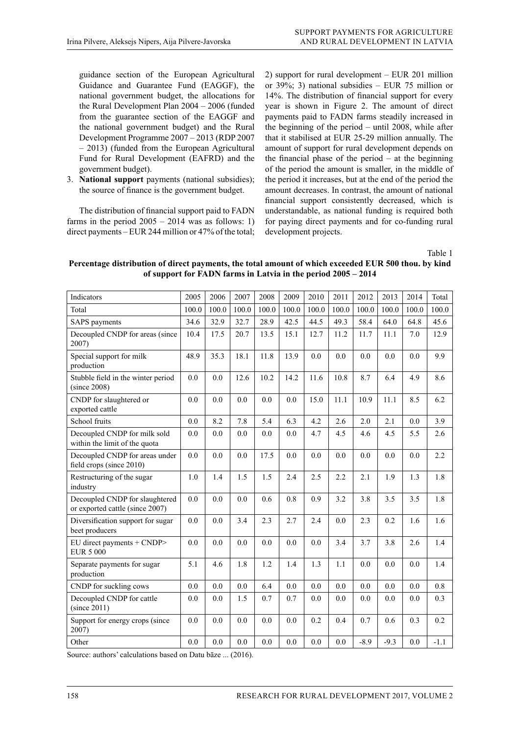guidance section of the European Agricultural Guidance and Guarantee Fund (EAGGF), the national government budget, the allocations for the Rural Development Plan 2004 – 2006 (funded from the guarantee section of the EAGGF and the national government budget) and the Rural Development Programme 2007 – 2013 (RDP 2007 – 2013) (funded from the European Agricultural Fund for Rural Development (EAFRD) and the government budget).

3. **National support** payments (national subsidies); the source of finance is the government budget.

The distribution of financial support paid to FADN farms in the period  $2005 - 2014$  was as follows: 1) direct payments – EUR 244 million or 47% of the total; 2) support for rural development – EUR 201 million or 39%; 3) national subsidies – EUR 75 million or 14%. The distribution of financial support for every year is shown in Figure 2. The amount of direct payments paid to FADN farms steadily increased in the beginning of the period – until 2008, while after that it stabilised at EUR 25-29 million annually. The amount of support for rural development depends on the financial phase of the period  $-$  at the beginning of the period the amount is smaller, in the middle of the period it increases, but at the end of the period the amount decreases. In contrast, the amount of national financial support consistently decreased, which is understandable, as national funding is required both for paying direct payments and for co-funding rural development projects.

Table 1

**Percentage distribution of direct payments, the total amount of which exceeded EUR 500 thou. by kind of support for FADN farms in Latvia in the period 2005 – 2014**

| Indicators                                                        | 2005  | 2006  | 2007  | 2008  | 2009  | 2010  | 2011  | 2012   | 2013   | 2014  | Total  |
|-------------------------------------------------------------------|-------|-------|-------|-------|-------|-------|-------|--------|--------|-------|--------|
| Total                                                             | 100.0 | 100.0 | 100.0 | 100.0 | 100.0 | 100.0 | 100.0 | 100.0  | 100.0  | 100.0 | 100.0  |
| SAPS payments                                                     | 34.6  | 32.9  | 32.7  | 28.9  | 42.5  | 44.5  | 49.3  | 58.4   | 64.0   | 64.8  | 45.6   |
| Decoupled CNDP for areas (since<br>2007)                          | 10.4  | 17.5  | 20.7  | 13.5  | 15.1  | 12.7  | 11.2  | 11.7   | 11.1   | 7.0   | 12.9   |
| Special support for milk<br>production                            | 48.9  | 35.3  | 18.1  | 11.8  | 13.9  | 0.0   | 0.0   | 0.0    | 0.0    | 0.0   | 9.9    |
| Stubble field in the winter period<br>(since 2008)                | 0.0   | 0.0   | 12.6  | 10.2  | 14.2  | 11.6  | 10.8  | 8.7    | 6.4    | 4.9   | 8.6    |
| CNDP for slaughtered or<br>exported cattle                        | 0.0   | 0.0   | 0.0   | 0.0   | 0.0   | 15.0  | 11.1  | 10.9   | 11.1   | 8.5   | 6.2    |
| School fruits                                                     | 0.0   | 8.2   | 7.8   | 5.4   | 6.3   | 4.2   | 2.6   | 2.0    | 2.1    | 0.0   | 3.9    |
| Decoupled CNDP for milk sold<br>within the limit of the quota     | 0.0   | 0.0   | 0.0   | 0.0   | 0.0   | 4.7   | 4.5   | 4.6    | 4.5    | 5.5   | 2.6    |
| Decoupled CNDP for areas under<br>field crops (since 2010)        | 0.0   | 0.0   | 0.0   | 17.5  | 0.0   | 0.0   | 0.0   | 0.0    | 0.0    | 0.0   | 2.2    |
| Restructuring of the sugar<br>industry                            | 1.0   | 1.4   | 1.5   | 1.5   | 2.4   | 2.5   | 2.2   | 2.1    | 1.9    | 1.3   | 1.8    |
| Decoupled CNDP for slaughtered<br>or exported cattle (since 2007) | 0.0   | 0.0   | 0.0   | 0.6   | 0.8   | 0.9   | 3.2   | 3.8    | 3.5    | 3.5   | 1.8    |
| Diversification support for sugar<br>beet producers               | 0.0   | 0.0   | 3.4   | 2.3   | 2.7   | 2.4   | 0.0   | 2.3    | 0.2    | 1.6   | 1.6    |
| EU direct payments + CNDP><br><b>EUR 5 000</b>                    | 0.0   | 0.0   | 0.0   | 0.0   | 0.0   | 0.0   | 3.4   | 3.7    | 3.8    | 2.6   | 1.4    |
| Separate payments for sugar<br>production                         | 5.1   | 4.6   | 1.8   | 1.2   | 1.4   | 1.3   | 1.1   | 0.0    | 0.0    | 0.0   | 1.4    |
| CNDP for suckling cows                                            | 0.0   | 0.0   | 0.0   | 6.4   | 0.0   | 0.0   | 0.0   | 0.0    | 0.0    | 0.0   | 0.8    |
| Decoupled CNDP for cattle<br>(since 2011)                         | 0.0   | 0.0   | 1.5   | 0.7   | 0.7   | 0.0   | 0.0   | 0.0    | 0.0    | 0.0   | 0.3    |
| Support for energy crops (since<br>2007)                          | 0.0   | 0.0   | 0.0   | 0.0   | 0.0   | 0.2   | 0.4   | 0.7    | 0.6    | 0.3   | 0.2    |
| Other                                                             | 0.0   | 0.0   | 0.0   | 0.0   | 0.0   | 0.0   | 0.0   | $-8.9$ | $-9.3$ | 0.0   | $-1.1$ |

Source: authors' calculations based on Datu bāze ... (2016).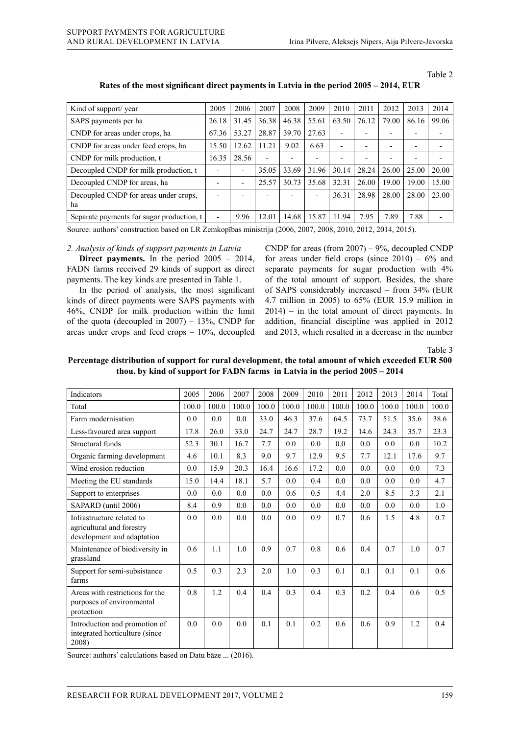|--|--|--|--|

| Kind of support/year                        | 2005                     | 2006  | 2007  | 2008  | 2009                     | 2010                     | 2011  | 2012  | 2013  | 2014  |
|---------------------------------------------|--------------------------|-------|-------|-------|--------------------------|--------------------------|-------|-------|-------|-------|
| SAPS payments per ha                        | 26.18                    | 31.45 | 36.38 | 46.38 | 55.61                    | 63.50                    | 76.12 | 79.00 | 86.16 | 99.06 |
| CNDP for areas under crops, ha              | 67.36                    | 53.27 | 28.87 | 39.70 | 27.63                    |                          |       |       | -     |       |
| CNDP for areas under feed crops, ha         | 15.50                    | 12.62 | 11.21 | 9.02  | 6.63                     | $\overline{\phantom{0}}$ |       |       | -     |       |
| CNDP for milk production, t                 | 16.35                    | 28.56 |       | ۰     |                          |                          |       |       | -     |       |
| Decoupled CNDP for milk production, t       |                          | -     | 35.05 | 33.69 | 31.96                    | 30.14                    | 28.24 | 26.00 | 25.00 | 20.00 |
| Decoupled CNDP for areas, ha                | $\overline{\phantom{0}}$ | -     | 25.57 | 30.73 | 35.68                    | 32.31                    | 26.00 | 19.00 | 19.00 | 15.00 |
| Decoupled CNDP for areas under crops,<br>ha |                          |       |       |       | $\overline{\phantom{0}}$ | 36.31                    | 28.98 | 28.00 | 28.00 | 23.00 |
| Separate payments for sugar production, t   | $\overline{\phantom{a}}$ | 9.96  | 12.01 | 14.68 | 15.87                    | 11.94                    | 7.95  | 7.89  | 7.88  | ٠     |

**Rates of the most significant direct payments in Latvia in the period 2005 – 2014, EUR**

Source: authors' construction based on LR Zemkopības ministrija (2006, 2007, 2008, 2010, 2012, 2014, 2015).

### *2. Analysis of kinds of support payments in Latvia*

**Direct payments.** In the period 2005 – 2014, FADN farms received 29 kinds of support as direct payments. The key kinds are presented in Table 1.

In the period of analysis, the most significant kinds of direct payments were SAPS payments with 46%, CNDP for milk production within the limit of the quota (decoupled in  $2007$ ) – 13%, CNDP for areas under crops and feed crops – 10%, decoupled

CNDP for areas (from  $2007$ ) – 9%, decoupled CNDP for areas under field crops (since  $2010$ ) – 6% and separate payments for sugar production with 4% of the total amount of support. Besides, the share of SAPS considerably increased – from 34% (EUR 4.7 million in 2005) to 65% (EUR 15.9 million in  $2014$ ) – in the total amount of direct payments. In addition, financial discipline was applied in 2012 and 2013, which resulted in a decrease in the number

Table 3

**Percentage distribution of support for rural development, the total amount of which exceeded EUR 500 thou. by kind of support for FADN farms in Latvia in the period 2005 – 2014**

| <b>Indicators</b>                                                                    | 2005  | 2006  | 2007  | 2008  | 2009  | 2010  | 2011  | 2012  | 2013  | 2014  | Total |
|--------------------------------------------------------------------------------------|-------|-------|-------|-------|-------|-------|-------|-------|-------|-------|-------|
| Total                                                                                | 100.0 | 100.0 | 100.0 | 100.0 | 100.0 | 100.0 | 100.0 | 100.0 | 100.0 | 100.0 | 100.0 |
| Farm modernisation                                                                   | 0.0   | 0.0   | 0.0   | 33.0  | 46.3  | 37.6  | 64.5  | 73.7  | 51.5  | 35.6  | 38.6  |
| Less-favoured area support                                                           | 17.8  | 26.0  | 33.0  | 24.7  | 24.7  | 28.7  | 19.2  | 14.6  | 24.3  | 35.7  | 23.3  |
| Structural funds                                                                     | 52.3  | 30.1  | 16.7  | 7.7   | 0.0   | 0.0   | 0.0   | 0.0   | 0.0   | 0.0   | 10.2  |
| Organic farming development                                                          | 4.6   | 10.1  | 8.3   | 9.0   | 9.7   | 12.9  | 9.5   | 7.7   | 12.1  | 17.6  | 9.7   |
| Wind erosion reduction                                                               | 0.0   | 15.9  | 20.3  | 16.4  | 16.6  | 17.2  | 0.0   | 0.0   | 0.0   | 0.0   | 7.3   |
| Meeting the EU standards                                                             | 15.0  | 14.4  | 18.1  | 5.7   | 0.0   | 0.4   | 0.0   | 0.0   | 0.0   | 0.0   | 4.7   |
| Support to enterprises                                                               | 0.0   | 0.0   | 0.0   | 0.0   | 0.6   | 0.5   | 4.4   | 2.0   | 8.5   | 3.3   | 2.1   |
| SAPARD (until 2006)                                                                  | 8.4   | 0.9   | 0.0   | 0.0   | 0.0   | 0.0   | 0.0   | 0.0   | 0.0   | 0.0   | 1.0   |
| Infrastructure related to<br>agricultural and forestry<br>development and adaptation | 0.0   | 0.0   | 0.0   | 0.0   | 0.0   | 0.9   | 0.7   | 0.6   | 1.5   | 4.8   | 0.7   |
| Maintenance of biodiversity in<br>grassland                                          | 0.6   | 1.1   | 1.0   | 0.9   | 0.7   | 0.8   | 0.6   | 0.4   | 0.7   | 1.0   | 0.7   |
| Support for semi-subsistance<br>farms                                                | 0.5   | 0.3   | 2.3   | 2.0   | 1.0   | 0.3   | 0.1   | 0.1   | 0.1   | 0.1   | 0.6   |
| Areas with restrictions for the<br>purposes of environmental<br>protection           | 0.8   | 1.2   | 0.4   | 0.4   | 0.3   | 0.4   | 0.3   | 0.2   | 0.4   | 0.6   | 0.5   |
| Introduction and promotion of<br>integrated horticulture (since<br>2008)             | 0.0   | 0.0   | 0.0   | 0.1   | 0.1   | 0.2   | 0.6   | 0.6   | 0.9   | 1.2   | 0.4   |

Source: authors' calculations based on Datu bāze ... (2016).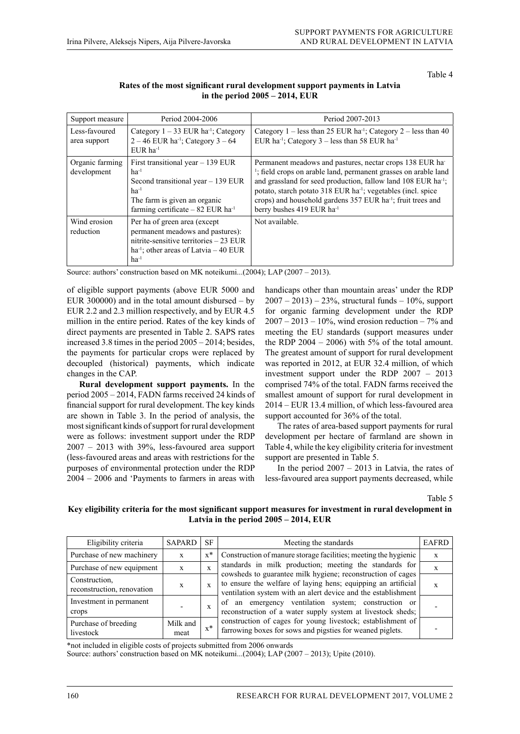Table 4

| Rates of the most significant rural development support payments in Latvia |
|----------------------------------------------------------------------------|
| in the period $2005 - 2014$ , EUR                                          |

| Support measure                | Period 2004-2006                                                                                                                                                                      | Period 2007-2013                                                                                                                                                                                                                                                                                                                                                                                                     |
|--------------------------------|---------------------------------------------------------------------------------------------------------------------------------------------------------------------------------------|----------------------------------------------------------------------------------------------------------------------------------------------------------------------------------------------------------------------------------------------------------------------------------------------------------------------------------------------------------------------------------------------------------------------|
| Less-favoured<br>area support  | Category $1 - 33$ EUR ha <sup>-1</sup> ; Category<br>$2 - 46$ EUR ha <sup>-1</sup> ; Category $3 - 64$<br>$EUR$ ha <sup>-1</sup>                                                      | Category 1 – less than 25 EUR ha <sup>-1</sup> ; Category 2 – less than 40<br>EUR ha <sup>-1</sup> ; Category $3$ – less than 58 EUR ha <sup>-1</sup>                                                                                                                                                                                                                                                                |
| Organic farming<br>development | First transitional year $-139$ EUR<br>$ha^{-1}$<br>Second transitional year $-139$ EUR<br>$ha^{-1}$<br>The farm is given an organic<br>farming certificate $-82$ EUR ha <sup>-1</sup> | Permanent meadows and pastures, nectar crops 138 EUR hat<br><sup>1</sup> ; field crops on arable land, permanent grasses on arable land<br>and grassland for seed production, fallow land 108 EUR ha <sup>-1</sup> ;<br>potato, starch potato 318 EUR ha <sup>-1</sup> ; vegetables (incl. spice<br>crops) and household gardens 357 EUR ha <sup>-1</sup> ; fruit trees and<br>berry bushes 419 EUR ha <sup>-1</sup> |
| Wind erosion<br>reduction      | Per ha of green area (except)<br>permanent meadows and pastures):<br>nitrite-sensitive territories $-23$ EUR<br>ha <sup>-1</sup> ; other areas of Latvia $-40$ EUR<br>$ha^{-1}$       | Not available.                                                                                                                                                                                                                                                                                                                                                                                                       |

Source: authors' construction based on MK noteikumi...(2004); LAP (2007 – 2013).

of eligible support payments (above EUR 5000 and EUR 300000) and in the total amount disbursed  $-$  by EUR 2.2 and 2.3 million respectively, and by EUR 4.5 million in the entire period. Rates of the key kinds of direct payments are presented in Table 2. SAPS rates increased 3.8 times in the period 2005 – 2014; besides, the payments for particular crops were replaced by decoupled (historical) payments, which indicate changes in the CAP.

**Rural development support payments.** In the period 2005 – 2014, FADN farms received 24 kinds of financial support for rural development. The key kinds are shown in Table 3. In the period of analysis, the most significant kinds of support for rural development were as follows: investment support under the RDP 2007 – 2013 with 39%, less-favoured area support (less-favoured areas and areas with restrictions for the purposes of environmental protection under the RDP 2004 – 2006 and 'Payments to farmers in areas with

handicaps other than mountain areas' under the RDP  $2007 - 2013$ ) – 23%, structural funds – 10%, support for organic farming development under the RDP  $2007 - 2013 - 10%$ , wind erosion reduction  $-7%$  and meeting the EU standards (support measures under the RDP  $2004 - 2006$ ) with 5% of the total amount. The greatest amount of support for rural development was reported in 2012, at EUR 32.4 million, of which investment support under the RDP 2007 – 2013 comprised 74% of the total. FADN farms received the smallest amount of support for rural development in 2014 – EUR 13.4 million, of which less-favoured area support accounted for 36% of the total.

The rates of area-based support payments for rural development per hectare of farmland are shown in Table 4, while the key eligibility criteria for investment support are presented in Table 5.

In the period  $2007 - 2013$  in Latvia, the rates of less-favoured area support payments decreased, while

Table 5

### **Key eligibility criteria for the most significant support measures for investment in rural development in Latvia in the period 2005 – 2014, EUR**

| Eligibility criteria                        | SAPARD           | SF           | Meeting the standards                                                                                                                                                                         | <b>EAFRD</b> |
|---------------------------------------------|------------------|--------------|-----------------------------------------------------------------------------------------------------------------------------------------------------------------------------------------------|--------------|
| Purchase of new machinery                   | X                | $x^*$        | Construction of manure storage facilities; meeting the hygienic                                                                                                                               | X            |
| Purchase of new equipment                   | $\mathbf{x}$     | X            | standards in milk production; meeting the standards for                                                                                                                                       | X            |
| Construction,<br>reconstruction, renovation | X                | $\mathbf{x}$ | cowsheds to guarantee milk hygiene; reconstruction of cages<br>to ensure the welfare of laying hens; equipping an artificial<br>ventilation system with an alert device and the establishment | X            |
| Investment in permanent<br>crops            |                  | X            | of an emergency ventilation system; construction or<br>reconstruction of a water supply system at livestock sheds;                                                                            |              |
| Purchase of breeding<br>livestock           | Milk and<br>meat | $x^*$        | construction of cages for young livestock; establishment of<br>farrowing boxes for sows and pigsties for weaned piglets.                                                                      |              |

\*not included in eligible costs of projects submitted from 2006 onwards

Source: authors' construction based on MK noteikumi...(2004); LAP (2007 – 2013); Upite (2010).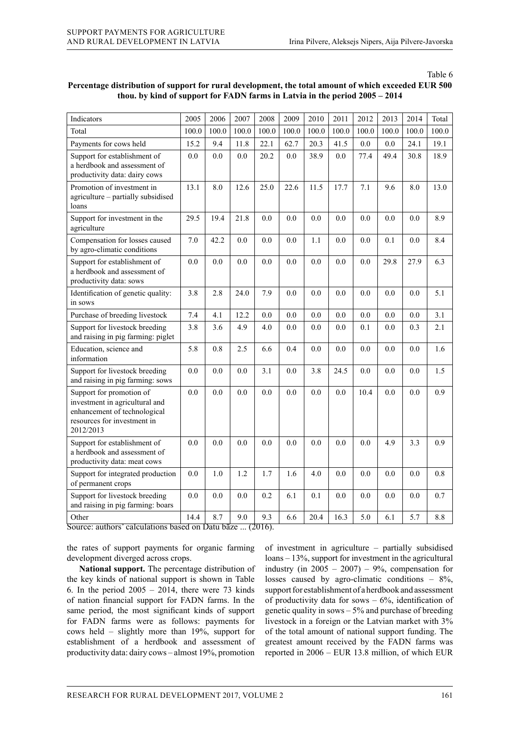Table 6

| Indicators                                                                                                                             | 2005  | 2006  | 2007  | 2008  | 2009    | 2010  | 2011  | 2012  | 2013  | 2014  | Total |
|----------------------------------------------------------------------------------------------------------------------------------------|-------|-------|-------|-------|---------|-------|-------|-------|-------|-------|-------|
| Total                                                                                                                                  | 100.0 | 100.0 | 100.0 | 100.0 | 100.0   | 100.0 | 100.0 | 100.0 | 100.0 | 100.0 | 100.0 |
| Payments for cows held                                                                                                                 | 15.2  | 9.4   | 11.8  | 22.1  | 62.7    | 20.3  | 41.5  | 0.0   | 0.0   | 24.1  | 19.1  |
| Support for establishment of<br>a herdbook and assessment of<br>productivity data: dairy cows                                          | 0.0   | 0.0   | 0.0   | 20.2  | 0.0     | 38.9  | 0.0   | 77.4  | 49.4  | 30.8  | 18.9  |
| Promotion of investment in<br>agriculture - partially subsidised<br>loans                                                              | 13.1  | 8.0   | 12.6  | 25.0  | 22.6    | 11.5  | 17.7  | 7.1   | 9.6   | 8.0   | 13.0  |
| Support for investment in the<br>agriculture                                                                                           | 29.5  | 19.4  | 21.8  | 0.0   | 0.0     | 0.0   | 0.0   | 0.0   | 0.0   | 0.0   | 8.9   |
| Compensation for losses caused<br>by agro-climatic conditions                                                                          | 7.0   | 42.2  | 0.0   | 0.0   | 0.0     | 1.1   | 0.0   | 0.0   | 0.1   | 0.0   | 8.4   |
| Support for establishment of<br>a herdbook and assessment of<br>productivity data: sows                                                | 0.0   | 0.0   | 0.0   | 0.0   | 0.0     | 0.0   | 0.0   | 0.0   | 29.8  | 27.9  | 6.3   |
| Identification of genetic quality:<br>in sows                                                                                          | 3.8   | 2.8   | 24.0  | 7.9   | 0.0     | 0.0   | 0.0   | 0.0   | 0.0   | 0.0   | 5.1   |
| Purchase of breeding livestock                                                                                                         | 7.4   | 4.1   | 12.2  | 0.0   | 0.0     | 0.0   | 0.0   | 0.0   | 0.0   | 0.0   | 3.1   |
| Support for livestock breeding<br>and raising in pig farming: piglet                                                                   | 3.8   | 3.6   | 4.9   | 4.0   | 0.0     | 0.0   | 0.0   | 0.1   | 0.0   | 0.3   | 2.1   |
| Education, science and<br>information                                                                                                  | 5.8   | 0.8   | 2.5   | 6.6   | 0.4     | 0.0   | 0.0   | 0.0   | 0.0   | 0.0   | 1.6   |
| Support for livestock breeding<br>and raising in pig farming: sows                                                                     | 0.0   | 0.0   | 0.0   | 3.1   | $0.0\,$ | 3.8   | 24.5  | 0.0   | 0.0   | 0.0   | 1.5   |
| Support for promotion of<br>investment in agricultural and<br>enhancement of technological<br>resources for investment in<br>2012/2013 | 0.0   | 0.0   | 0.0   | 0.0   | 0.0     | 0.0   | 0.0   | 10.4  | 0.0   | 0.0   | 0.9   |
| Support for establishment of<br>a herdbook and assessment of<br>productivity data: meat cows                                           | 0.0   | 0.0   | 0.0   | 0.0   | 0.0     | 0.0   | 0.0   | 0.0   | 4.9   | 3.3   | 0.9   |
| Support for integrated production<br>of permanent crops                                                                                | 0.0   | 1.0   | 1.2   | 1.7   | 1.6     | 4.0   | 0.0   | 0.0   | 0.0   | 0.0   | 0.8   |
| Support for livestock breeding<br>and raising in pig farming: boars                                                                    | 0.0   | 0.0   | 0.0   | 0.2   | 6.1     | 0.1   | 0.0   | 0.0   | 0.0   | 0.0   | 0.7   |
| Other                                                                                                                                  | 14.4  | 8.7   | 9.0   | 9.3   | 6.6     | 20.4  | 16.3  | 5.0   | 6.1   | 5.7   | 8.8   |

## **Percentage distribution of support for rural development, the total amount of which exceeded EUR 500 thou. by kind of support for FADN farms in Latvia in the period 2005 – 2014**

Source: authors' calculations based on Datu bāze ... (2016).

the rates of support payments for organic farming development diverged across crops.

**National support.** The percentage distribution of the key kinds of national support is shown in Table 6. In the period  $2005 - 2014$ , there were 73 kinds of nation financial support for FADN farms. In the same period, the most significant kinds of support for FADN farms were as follows: payments for cows held – slightly more than 19%, support for establishment of a herdbook and assessment of productivity data: dairy cows – almost 19%, promotion

of investment in agriculture – partially subsidised loans – 13%, support for investment in the agricultural industry (in  $2005 - 2007$ ) – 9%, compensation for losses caused by agro-climatic conditions  $-8\%$ , support for establishment of a herdbook and assessment of productivity data for sows  $-6\%$ , identification of genetic quality in sows  $-5\%$  and purchase of breeding livestock in a foreign or the Latvian market with 3% of the total amount of national support funding. The greatest amount received by the FADN farms was reported in 2006 – EUR 13.8 million, of which EUR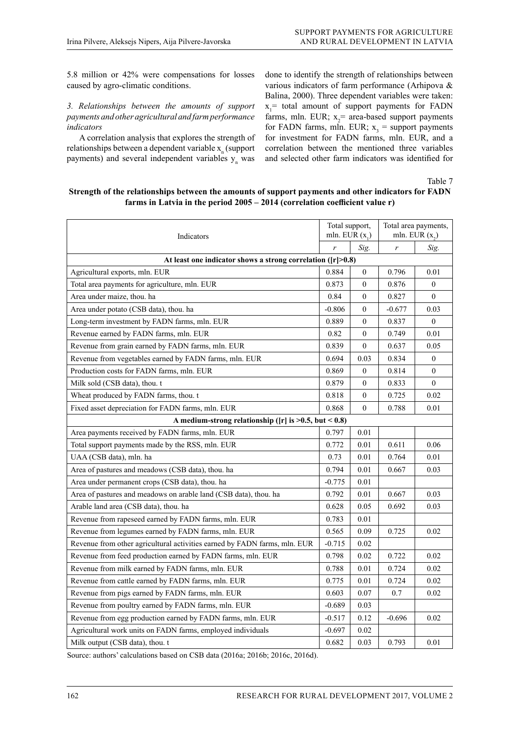5.8 million or 42% were compensations for losses caused by agro-climatic conditions.

### *3. Relationships between the amounts of support payments and other agricultural and farm performance indicators*

A correlation analysis that explores the strength of relationships between a dependent variable  $x_{n}^{\,}$  (support payments) and several independent variables  $y_n$  was done to identify the strength of relationships between various indicators of farm performance (Arhipova & Balina, 2000). Three dependent variables were taken:  $x_1$ <sup>=</sup> total amount of support payments for FADN farms, mln. EUR;  $x_2$  = area-based support payments for FADN farms, mln. EUR;  $x_3$  = support payments for investment for FADN farms, mln. EUR, and a correlation between the mentioned three variables and selected other farm indicators was identified for

Table 7

## **Strength of the relationships between the amounts of support payments and other indicators for FADN farms in Latvia in the period 2005 – 2014 (correlation coefficient value r)**

| Indicators                                                                | Total support,<br>mln. EUR $(x_1)$ |                  |          | Total area payments,<br>mln. EUR $(x,$ |  |  |  |  |  |  |
|---------------------------------------------------------------------------|------------------------------------|------------------|----------|----------------------------------------|--|--|--|--|--|--|
|                                                                           | r                                  | Sig.             | r        | Sig.                                   |  |  |  |  |  |  |
| At least one indicator shows a strong correlation ( $ r >0.8$ )           |                                    |                  |          |                                        |  |  |  |  |  |  |
| Agricultural exports, mln. EUR                                            | 0.884                              | $\theta$         | 0.796    | 0.01                                   |  |  |  |  |  |  |
| Total area payments for agriculture, mln. EUR                             | 0.873                              | $\Omega$         | 0.876    | $\Omega$                               |  |  |  |  |  |  |
| Area under maize, thou. ha                                                | 0.84                               | $\overline{0}$   | 0.827    | $\theta$                               |  |  |  |  |  |  |
| Area under potato (CSB data), thou. ha                                    | $-0.806$                           | $\overline{0}$   | $-0.677$ | 0.03                                   |  |  |  |  |  |  |
| Long-term investment by FADN farms, mln. EUR                              | 0.889                              | $\mathbf{0}$     | 0.837    | $\overline{0}$                         |  |  |  |  |  |  |
| Revenue earned by FADN farms, mln. EUR                                    | 0.82                               | $\overline{0}$   | 0.749    | 0.01                                   |  |  |  |  |  |  |
| Revenue from grain earned by FADN farms, mln. EUR                         | 0.839                              | $\theta$         | 0.637    | 0.05                                   |  |  |  |  |  |  |
| Revenue from vegetables earned by FADN farms, mln. EUR                    | 0.694                              | 0.03             | 0.834    | $\overline{0}$                         |  |  |  |  |  |  |
| Production costs for FADN farms, mln. EUR                                 | 0.869                              | $\mathbf{0}$     | 0.814    | $\overline{0}$                         |  |  |  |  |  |  |
| Milk sold (CSB data), thou. t                                             | 0.879                              | $\theta$         | 0.833    | $\overline{0}$                         |  |  |  |  |  |  |
| Wheat produced by FADN farms, thou. t                                     | 0.818                              | $\boldsymbol{0}$ | 0.725    | 0.02                                   |  |  |  |  |  |  |
| Fixed asset depreciation for FADN farms, mln. EUR                         | 0.868                              | $\theta$         | 0.788    | 0.01                                   |  |  |  |  |  |  |
| A medium-strong relationship ( $[r]$ is $>0.5$ , but < 0.8)               |                                    |                  |          |                                        |  |  |  |  |  |  |
| Area payments received by FADN farms, mln. EUR                            | 0.797                              | 0.01             |          |                                        |  |  |  |  |  |  |
| Total support payments made by the RSS, mln. EUR                          | 0.772                              | 0.01             | 0.611    | 0.06                                   |  |  |  |  |  |  |
| UAA (CSB data), mln. ha                                                   | 0.73                               | 0.01             | 0.764    | 0.01                                   |  |  |  |  |  |  |
| Area of pastures and meadows (CSB data), thou. ha                         | 0.794                              | 0.01             | 0.667    | 0.03                                   |  |  |  |  |  |  |
| Area under permanent crops (CSB data), thou. ha                           | $-0.775$                           | 0.01             |          |                                        |  |  |  |  |  |  |
| Area of pastures and meadows on arable land (CSB data), thou. ha          | 0.792                              | 0.01             | 0.667    | 0.03                                   |  |  |  |  |  |  |
| Arable land area (CSB data), thou. ha                                     | 0.628                              | 0.05             | 0.692    | 0.03                                   |  |  |  |  |  |  |
| Revenue from rapeseed earned by FADN farms, mln. EUR                      | 0.783                              | 0.01             |          |                                        |  |  |  |  |  |  |
| Revenue from legumes earned by FADN farms, mln. EUR                       | 0.565                              | 0.09             | 0.725    | 0.02                                   |  |  |  |  |  |  |
| Revenue from other agricultural activities earned by FADN farms, mln. EUR | $-0.715$                           | 0.02             |          |                                        |  |  |  |  |  |  |
| Revenue from feed production earned by FADN farms, mln. EUR               | 0.798                              | 0.02             | 0.722    | 0.02                                   |  |  |  |  |  |  |
| Revenue from milk earned by FADN farms, mln. EUR                          | 0.788                              | 0.01             | 0.724    | 0.02                                   |  |  |  |  |  |  |
| Revenue from cattle earned by FADN farms, mln. EUR                        | 0.775                              | 0.01             | 0.724    | 0.02                                   |  |  |  |  |  |  |
| Revenue from pigs earned by FADN farms, mln. EUR                          | 0.603                              | 0.07             | 0.7      | 0.02                                   |  |  |  |  |  |  |
| Revenue from poultry earned by FADN farms, mln. EUR                       | $-0.689$                           | 0.03             |          |                                        |  |  |  |  |  |  |
| Revenue from egg production earned by FADN farms, mln. EUR                | $-0.517$                           | 0.12             | $-0.696$ | 0.02                                   |  |  |  |  |  |  |
| Agricultural work units on FADN farms, employed individuals               | $-0.697$                           | 0.02             |          |                                        |  |  |  |  |  |  |
| Milk output (CSB data), thou. t                                           | 0.682                              | 0.03             | 0.793    | 0.01                                   |  |  |  |  |  |  |

Source: authors' calculations based on CSB data (2016a; 2016b; 2016c, 2016d).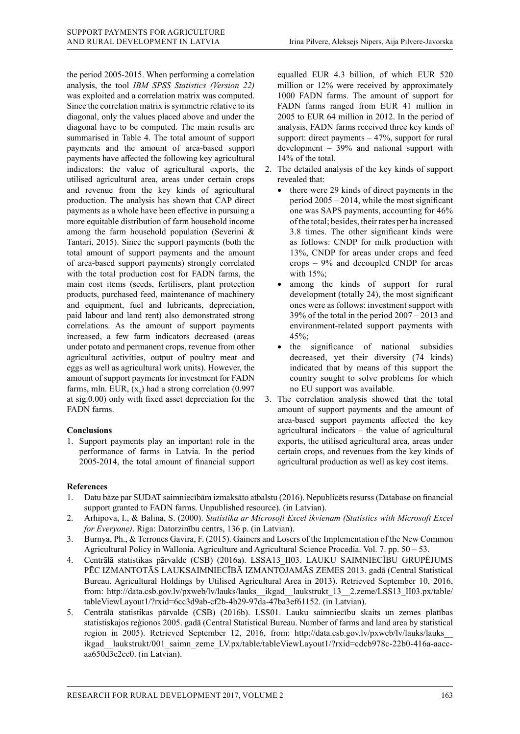the period 2005-2015. When performing a correlation analysis, the tool *IBM SPSS Statistics (Version 22)* was exploited and a correlation matrix was computed. Since the correlation matrix is symmetric relative to its diagonal, only the values placed above and under the diagonal have to be computed. The main results are summarised in Table 4. The total amount of support payments and the amount of area-based support payments have affected the following key agricultural indicators: the value of agricultural exports, the utilised agricultural area, areas under certain crops and revenue from the key kinds of agricultural production. The analysis has shown that CAP direct payments as a whole have been effective in pursuing a more equitable distribution of farm household income among the farm household population (Severini & Tantari, 2015). Since the support payments (both the total amount of support payments and the amount of area-based support payments) strongly correlated with the total production cost for FADN farms, the main cost items (seeds, fertilisers, plant protection products, purchased feed, maintenance of machinery and equipment, fuel and lubricants, depreciation, paid labour and land rent) also demonstrated strong correlations. As the amount of support payments increased, a few farm indicators decreased (areas under potato and permanent crops, revenue from other agricultural activities, output of poultry meat and eggs as well as agricultural work units). However, the amount of support payments for investment for FADN farms, mln. EUR,  $(x_3)$  had a strong correlation (0.997) at sig.0.00) only with fixed asset depreciation for the FADN farms.

# **Conclusions**

1. Support payments play an important role in the performance of farms in Latvia. In the period 2005-2014, the total amount of financial support equalled EUR 4.3 billion, of which EUR 520 million or 12% were received by approximately 1000 FADN farms. The amount of support for FADN farms ranged from EUR 41 million in 2005 to EUR 64 million in 2012. In the period of analysis, FADN farms received three key kinds of support: direct payments – 47%, support for rural development – 39% and national support with 14% of the total.

- 2. The detailed analysis of the key kinds of support revealed that:
	- there were 29 kinds of direct payments in the period 2005 – 2014, while the most significant one was SAPS payments, accounting for 46% of the total; besides, their rates per ha increased 3.8 times. The other significant kinds were as follows: CNDP for milk production with 13%, CNDP for areas under crops and feed crops – 9% and decoupled CNDP for areas with 15%;
	- among the kinds of support for rural development (totally 24), the most significant ones were as follows: investment support with 39% of the total in the period 2007 – 2013 and environment-related support payments with 45%;
	- the significance of national subsidies decreased, yet their diversity (74 kinds) indicated that by means of this support the country sought to solve problems for which no EU support was available.
- 3. The correlation analysis showed that the total amount of support payments and the amount of area-based support payments affected the key agricultural indicators – the value of agricultural exports, the utilised agricultural area, areas under certain crops, and revenues from the key kinds of agricultural production as well as key cost items.

# **References**

- 1. Datu bāze par SUDAT saimniecībām izmaksāto atbalstu (2016). Nepublicēts resurss (Database on financial support granted to FADN farms. Unpublished resource). (in Latvian).
- 2. Arhipova, I., & Balina, S. (2000). *Statistika ar Microsoft Excel ikvienam (Statistics with Microsoft Excel for Everyone)*. Riga: Datorzinību centrs, 136 p. (in Latvian).
- 3. Burnya, Ph., & Terrones Gavira, F. (2015). Gainers and Losers of the Implementation of the New Common Agricultural Policy in Wallonia. Agriculture and Agricultural Science Procedia. Vol. 7. pp. 50 – 53.
- 4. Centrālā statistikas pārvalde (CSB) (2016a). LSSA13\_II03. LAUKU SAIMNIECĪBU GRUPĒJUMS PĒC IZMANTOTĀS LAUKSAIMNIECĪBĀ IZMANTOJAMĀS ZEMES 2013. gadā (Central Statistical Bureau. Agricultural Holdings by Utilised Agricultural Area in 2013). Retrieved September 10, 2016, from: http://data.csb.gov.lv/pxweb/lv/lauks/lauks\_\_ikgad\_\_laukstrukt\_13\_\_2.zeme/LSS13\_II03.px/table/ tableViewLayout1/?rxid=6cc3d9ab-cf2b-4b29-97da-47ba3ef61152. (in Latvian).
- 5. Centrālā statistikas pārvalde (CSB) (2016b). LSS01. Lauku saimniecību skaits un zemes platības statistiskajos reģionos 2005. gadā (Central Statistical Bureau. Number of farms and land area by statistical region in 2005). Retrieved September 12, 2016, from: http://data.csb.gov.lv/pxweb/lv/lauks/lauks\_\_ ikgad laukstrukt/001 saimn zeme LV.px/table/tableViewLayout1/?rxid=cdcb978c-22b0-416a-aaccaa650d3e2ce0. (in Latvian).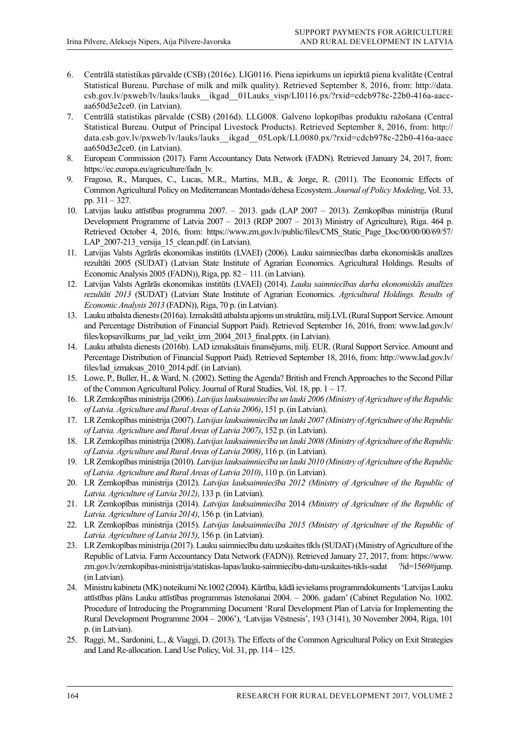- 6. Centrālā statistikas pārvalde (CSB) (2016c). LIG0116. Piena iepirkums un iepirktā piena kvalitāte (Central Statistical Bureau. Purchase of milk and milk quality). Retrieved September 8, 2016, from: http://data. csb.gov.lv/pxweb/lv/lauks/lauks\_\_ikgad\_\_01Lauks\_visp/LI0116.px/?rxid=cdcb978c-22b0-416a-aaccaa650d3e2ce0. (in Latvian).
- 7. Centrālā statistikas pārvalde (CSB) (2016d). LLG008. Galveno lopkopības produktu ražošana (Central Statistical Bureau. Output of Principal Livestock Products). Retrieved September 8, 2016, from: http:// data.csb.gov.lv/pxweb/lv/lauks/lauks\_\_ikgad\_\_05Lopk/LL0080.px/?rxid=cdcb978c-22b0-416a-aacc aa650d3e2ce0. (in Latvian).
- 8. European Commission (2017). Farm Accountancy Data Network (FADN). Retrieved January 24, 2017, from: https://ec.europa.eu/agriculture/fadn\_lv.
- 9. Fragoso, R., Marques, C., Lucas, M.R., Martins, M.B., & Jorge, R. (2011). The Economic Effects of Common Agricultural Policy on Mediterranean Montado/dehesa Ecosystem. *Journal of Policy Modeling*, Vol. 33, pp. 311 – 327.
- 10. Latvijas lauku attīstības programma 2007. 2013. gads (LAP 2007 2013). Zemkopības ministrija (Rural Development Programme of Latvia 2007 – 2013 (RDP 2007 – 2013) Ministry of Agriculture), Riga. 464 p. Retrieved October 4, 2016, from: https://www.zm.gov.lv/public/files/CMS\_Static\_Page\_Doc/00/00/00/69/57/ LAP 2007-213 versija 15 clean.pdf. (in Latvian).
- 11. Latvijas Valsts Agrārās ekonomikas institūts (LVAEI) (2006). Lauku saimniecības darba ekonomiskās analīzes rezultāti 2005 (SUDAT) (Latvian State Institute of Agrarian Economics. Agricultural Holdings. Results of Economic Analysis 2005 (FADN)), Riga, pp. 82 – 111. (in Latvian).
- 12. Latvijas Valsts Agrārās ekonomikas institūts (LVAEI) (2014). *Lauku saimniecības darba ekonomiskās analīzes rezultāti 2013* (SUDAT) (Latvian State Institute of Agrarian Economics. *Agricultural Holdings. Results of Economic Analysis 2013* (FADN)), Riga, 70 p. (in Latvian).
- 13. Lauku atbalsta dienests (2016a). Izmaksātā atbalsta apjoms un struktūra, milj.LVL (Rural Support Service. Amount and Percentage Distribution of Financial Support Paid). Retrieved September 16, 2016, from: www.lad.gov.lv/ files/kopsavilkums\_par\_lad\_veikt\_izm\_2004\_2013\_final.pptx. (in Latvian).
- 14. Lauku atbalsta dienests (2016b). LAD izmaksātais finansējums, milj. EUR. (Rural Support Service. Amount and Percentage Distribution of Financial Support Paid). Retrieved September 18, 2016, from: http://www.lad.gov.lv/ files/lad\_izmaksas\_2010\_2014.pdf. (in Latvian).
- 15. Lowe, P., Buller, H., & Ward, N. (2002). Setting the Agenda? British and French Approaches to the Second Pillar of the Common Agricultural Policy. Journal of Rural Studies, Vol. 18, pp. 1 – 17.
- 16. LR Zemkopības ministrija (2006). *Latvijas lauksaimniecība un lauki 2006 (Ministry of Agriculture of the Republic of Latvia. Agriculture and Rural Areas of Latvia 2006)*, 151 p. (in Latvian).
- 17. LR Zemkopības ministrija (2007). *Latvijas lauksaimniecība un lauki 2007 (Ministry of Agriculture of the Republic of Latvia. Agriculture and Rural Areas of Latvia 2007)*, 152 p. (in Latvian).
- 18. LR Zemkopības ministrija (2008). *Latvijas lauksaimniecība un lauki 2008 (Ministry of Agriculture of the Republic of Latvia. Agriculture and Rural Areas of Latvia 2008)*, 116 p. (in Latvian).
- 19. LR Zemkopības ministrija (2010). *Latvijas lauksaimniecība un lauki 2010 (Ministry of Agriculture of the Republic of Latvia. Agriculture and Rural Areas of Latvia 2010)*, 110 p. (in Latvian).
- 20. LR Zemkopības ministrija (2012). *Latvijas lauksaimniecība 2012 (Ministry of Agriculture of the Republic of Latvia. Agriculture of Latvia 2012)*, 133 p. (in Latvian).
- 21. LR Zemkopības ministrija (2014). *Latvijas lauksaimniecība* 2014 *(Ministry of Agriculture of the Republic of Latvia. Agriculture of Latvia 2014)*, 156 p. (in Latvian).
- 22. LR Zemkopības ministrija (2015). *Latvijas lauksaimniecība 2015 (Ministry of Agriculture of the Republic of Latvia. Agriculture of Latvia 2015)*, 156 p. (in Latvian).
- 23. LR Zemkopības ministrija (2017). Lauku saimniecību datu uzskaites tīkls (SUDAT) (Ministry of Agriculture of the Republic of Latvia. Farm Accountancy Data Network (FADN)). Retrieved January 27, 2017, from: https://www. zm.gov.lv/zemkopibas-ministrija/statiskas-lapas/lauku-saimniecibu-datu-uzskaites-tikls-sudat ?id=1569#jump. (in Latvian).
- 24. Ministru kabineta (MK) noteikumi Nr.1002 (2004). Kārtība, kādā ieviešams programmdokuments 'Latvijas Lauku attīstības plāns Lauku attīstības programmas īstenošanai 2004. – 2006. gadam' (Cabinet Regulation No. 1002. Procedure of Introducing the Programming Document 'Rural Development Plan of Latvia for Implementing the Rural Development Programme 2004 – 2006'), 'Latvijas Vēstnesis', 193 (3141), 30 November 2004, Riga, 101 p. (in Latvian).
- 25. Raggi, M., Sardonini, L., & Viaggi, D. (2013). The Effects of the Common Agricultural Policy on Exit Strategies and Land Re-allocation. Land Use Policy, Vol. 31, pp. 114 – 125.